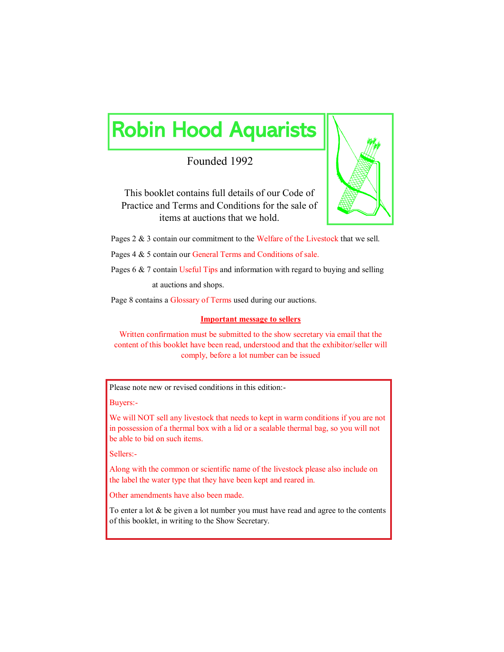# Robin Hood Aquarists

Founded 1992



This booklet contains full details of our Code of Practice and Terms and Conditions for the sale of items at auctions that we hold.

Pages 2 & 3 contain our commitment to the Welfare of the Livestock that we sell.

Pages 4 & 5 contain our General Terms and Conditions of sale.

Pages 6 & 7 contain Useful Tips and information with regard to buying and selling

at auctions and shops.

Page 8 contains a Glossary of Terms used during our auctions.

#### **Important message to sellers**

Written confirmation must be submitted to the show secretary via email that the content of this booklet have been read, understood and that the exhibitor/seller will comply, before a lot number can be issued

Please note new or revised conditions in this edition:-

Buyers:-

We will NOT sell any livestock that needs to kept in warm conditions if you are not in possession of a thermal box with a lid or a sealable thermal bag, so you will not be able to bid on such items.

Sellers:-

Along with the common or scientific name of the livestock please also include on the label the water type that they have been kept and reared in.

Other amendments have also been made.

To enter a lot  $&$  be given a lot number you must have read and agree to the contents of this booklet, in writing to the Show Secretary.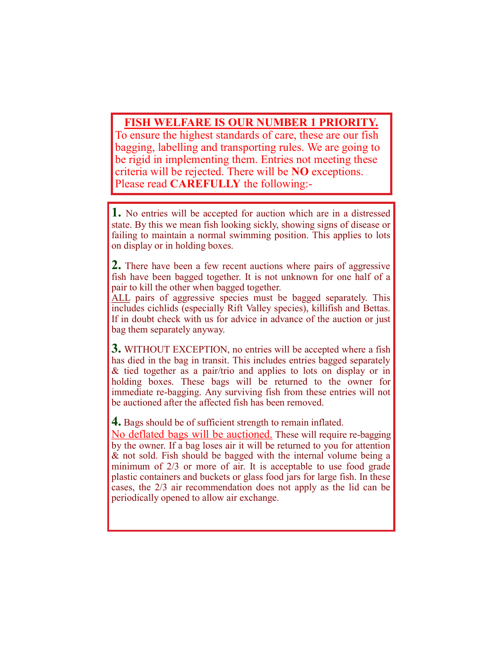# **FISH WELFARE IS OUR NUMBER 1 PRIORITY.**

To ensure the highest standards of care, these are our fish bagging, labelling and transporting rules. We are going to be rigid in implementing them. Entries not meeting these criteria will be rejected. There will be **NO** exceptions. Please read **CAREFULLY** the following:-

**1.** No entries will be accepted for auction which are in a distressed state. By this we mean fish looking sickly, showing signs of disease or failing to maintain a normal swimming position. This applies to lots on display or in holding boxes.

**2.** There have been a few recent auctions where pairs of aggressive fish have been bagged together. It is not unknown for one half of a pair to kill the other when bagged together.

ALL pairs of aggressive species must be bagged separately. This includes cichlids (especially Rift Valley species), killifish and Bettas. If in doubt check with us for advice in advance of the auction or just bag them separately anyway.

**3.** WITHOUT EXCEPTION, no entries will be accepted where a fish has died in the bag in transit. This includes entries bagged separately & tied together as a pair/trio and applies to lots on display or in holding boxes. These bags will be returned to the owner for immediate re-bagging. Any surviving fish from these entries will not be auctioned after the affected fish has been removed.

**4.** Bags should be of sufficient strength to remain inflated.

No deflated bags will be auctioned. These will require re-bagging by the owner. If a bag loses air it will be returned to you for attention & not sold. Fish should be bagged with the internal volume being a minimum of 2/3 or more of air. It is acceptable to use food grade plastic containers and buckets or glass food jars for large fish. In these cases, the 2/3 air recommendation does not apply as the lid can be periodically opened to allow air exchange.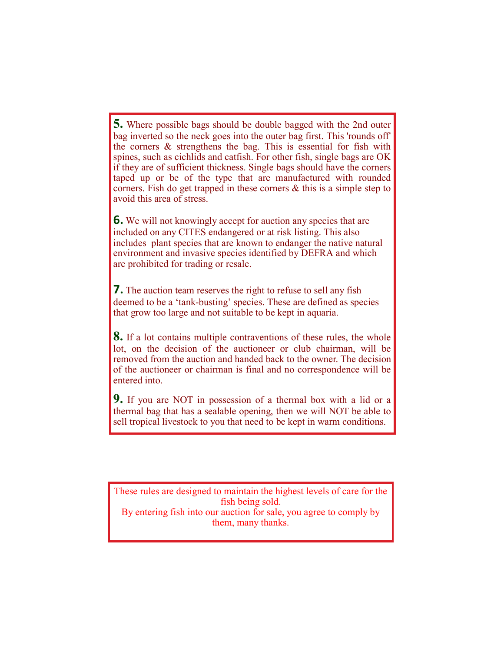**5.** Where possible bags should be double bagged with the 2nd outer bag inverted so the neck goes into the outer bag first. This 'rounds off' the corners & strengthens the bag. This is essential for fish with spines, such as cichlids and catfish. For other fish, single bags are OK if they are of sufficient thickness. Single bags should have the corners taped up or be of the type that are manufactured with rounded corners. Fish do get trapped in these corners & this is a simple step to avoid this area of stress.

**6.** We will not knowingly accept for auction any species that are included on any CITES endangered or at risk listing. This also includes plant species that are known to endanger the native natural environment and invasive species identified by DEFRA and which are prohibited for trading or resale.

**7.** The auction team reserves the right to refuse to sell any fish deemed to be a 'tank-busting' species. These are defined as species that grow too large and not suitable to be kept in aquaria.

**8.** If a lot contains multiple contraventions of these rules, the whole lot, on the decision of the auctioneer or club chairman, will be removed from the auction and handed back to the owner. The decision of the auctioneer or chairman is final and no correspondence will be entered into.

**9.** If you are NOT in possession of a thermal box with a lid or a thermal bag that has a sealable opening, then we will NOT be able to sell tropical livestock to you that need to be kept in warm conditions.

These rules are designed to maintain the highest levels of care for the fish being sold. By entering fish into our auction for sale, you agree to comply by them, many thanks.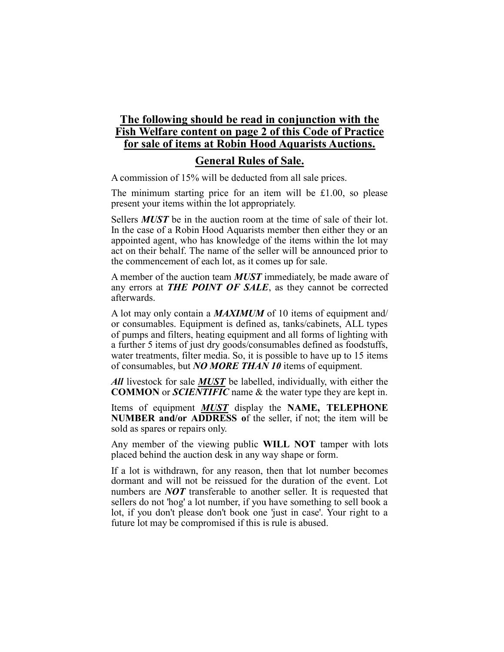# **The following should be read in conjunction with the Fish Welfare content on page 2 of this Code of Practice for sale of items at Robin Hood Aquarists Auctions.**

## **General Rules of Sale.**

A commission of 15% will be deducted from all sale prices.

The minimum starting price for an item will be £1.00, so please present your items within the lot appropriately.

Sellers *MUST* be in the auction room at the time of sale of their lot. In the case of a Robin Hood Aquarists member then either they or an appointed agent, who has knowledge of the items within the lot may act on their behalf. The name of the seller will be announced prior to the commencement of each lot, as it comes up for sale.

A member of the auction team *MUST* immediately, be made aware of any errors at *THE POINT OF SALE*, as they cannot be corrected afterwards.

A lot may only contain a *MAXIMUM* of 10 items of equipment and/ or consumables. Equipment is defined as, tanks/cabinets, ALL types of pumps and filters, heating equipment and all forms of lighting with a further 5 items of just dry goods/consumables defined as foodstuffs, water treatments, filter media. So, it is possible to have up to 15 items of consumables, but *NO MORE THAN 10* items of equipment.

*All* livestock for sale *MUST* be labelled, individually, with either the **COMMON** or *SCIENTIFIC* name & the water type they are kept in.

Items of equipment *MUST* display the **NAME, TELEPHONE NUMBER and/or ADDRESS o**f the seller, if not; the item will be sold as spares or repairs only.

Any member of the viewing public **WILL NOT** tamper with lots placed behind the auction desk in any way shape or form.

If a lot is withdrawn, for any reason, then that lot number becomes dormant and will not be reissued for the duration of the event. Lot numbers are *NOT* transferable to another seller. It is requested that sellers do not 'hog' a lot number, if you have something to sell book a lot, if you don't please don't book one 'just in case'. Your right to a future lot may be compromised if this is rule is abused.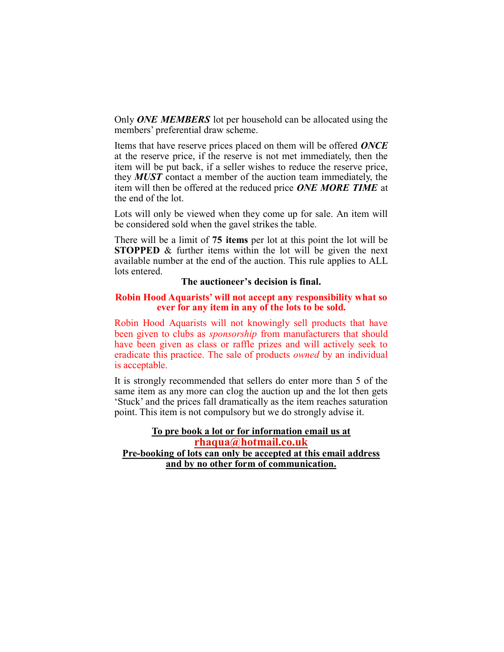Only *ONE MEMBERS* lot per household can be allocated using the members' preferential draw scheme.

Items that have reserve prices placed on them will be offered *ONCE* at the reserve price, if the reserve is not met immediately, then the item will be put back, if a seller wishes to reduce the reserve price, they *MUST* contact a member of the auction team immediately, the item will then be offered at the reduced price *ONE MORE TIME* at the end of the lot.

Lots will only be viewed when they come up for sale. An item will be considered sold when the gavel strikes the table.

There will be a limit of **75 items** per lot at this point the lot will be **STOPPED** & further items within the lot will be given the next available number at the end of the auction. This rule applies to ALL lots entered.

#### **The auctioneer's decision is final.**

#### **Robin Hood Aquarists' will not accept any responsibility what so ever for any item in any of the lots to be sold.**

Robin Hood Aquarists will not knowingly sell products that have been given to clubs as *sponsorship* from manufacturers that should have been given as class or raffle prizes and will actively seek to eradicate this practice. The sale of products *owned* by an individual is acceptable.

It is strongly recommended that sellers do enter more than 5 of the same item as any more can clog the auction up and the lot then gets 'Stuck' and the prices fall dramatically as the item reaches saturation point. This item is not compulsory but we do strongly advise it.

## **To pre book a lot or for information email us at [rhaqua@hotmail.co.uk](mailto:rhaqua@hotmail.co.uk) Pre-booking of lots can only be accepted at this email address and by no other form of communication.**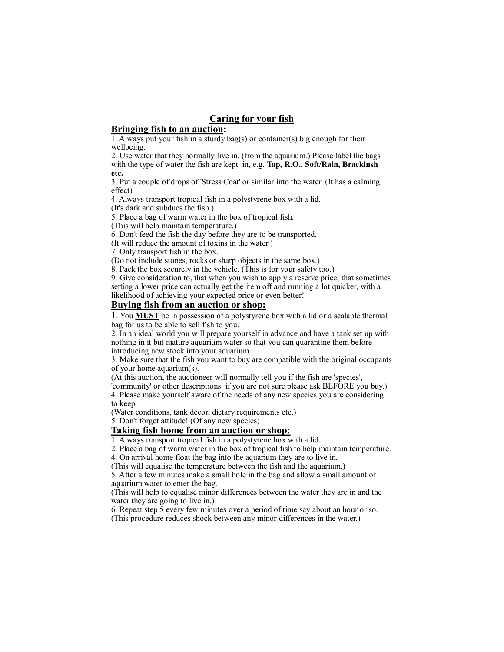## **Caring for your fish**

#### **Bringing fish to an auction:**

1. Always put your fish in a sturdy bag(s) or container(s) big enough for their wellbeing.

2. Use water that they normally live in. (from the aquarium.) Please label the bags with the type of water the fish are kept in, e.g. **Tap, R.O., Soft/Rain, Brackinsh etc.**

3. Put a couple of drops of 'Stress Coat' or similar into the water. (It has a calming effect)

4. Always transport tropical fish in a polystyrene box with a lid.

(It's dark and subdues the fish.)

5. Place a bag of warm water in the box of tropical fish.

(This will help maintain temperature.)

6. Don't feed the fish the day before they are to be transported.

(It will reduce the amount of toxins in the water.)

7. Only transport fish in the box.

(Do not include stones, rocks or sharp objects in the same box.)

8. Pack the box securely in the vehicle. (This is for your safety too.)

9. Give consideration to, that when you wish to apply a reserve price, that sometimes setting a lower price can actually get the item off and running a lot quicker, with a likelihood of achieving your expected price or even better!

#### **Buying fish from an auction or shop:**

1. You **MUST** be in possession of a polystyrene box with a lid or a sealable thermal bag for us to be able to sell fish to you.

2. In an ideal world you will prepare yourself in advance and have a tank set up with nothing in it but mature aquarium water so that you can quarantine them before introducing new stock into your aquarium.

3. Make sure that the fish you want to buy are compatible with the original occupants of your home aquarium(s).

(At this auction, the auctioneer will normally tell you if the fish are 'species',

'community' or other descriptions. if you are not sure please ask BEFORE you buy.) 4. Please make yourself aware of the needs of any new species you are considering to keep.

(Water conditions, tank décor, dietary requirements etc.)

5. Don't forget attitude! (Of any new species)

## **Taking fish home from an auction or shop:**

1. Always transport tropical fish in a polystyrene box with a lid.

2. Place a bag of warm water in the box of tropical fish to help maintain temperature.

4. On arrival home float the bag into the aquarium they are to live in.

(This will equalise the temperature between the fish and the aquarium.)

5. After a few minutes make a small hole in the bag and allow a small amount of aquarium water to enter the bag.

(This will help to equalise minor differences between the water they are in and the water they are going to live in.)

6. Repeat step 5 every few minutes over a period of time say about an hour or so. (This procedure reduces shock between any minor differences in the water.)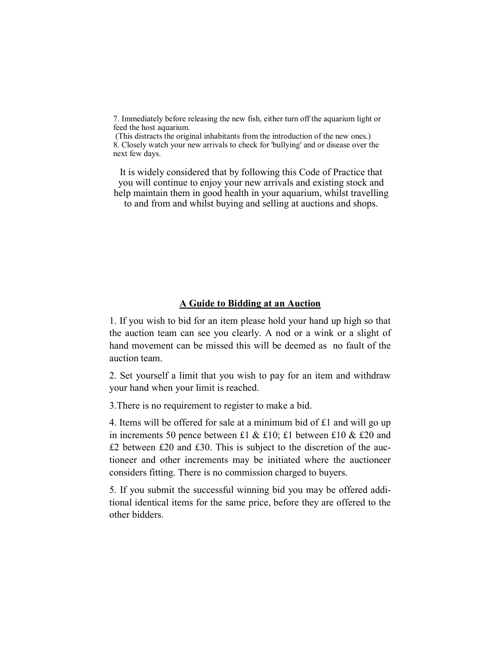7. Immediately before releasing the new fish, either turn off the aquarium light or feed the host aquarium.

(This distracts the original inhabitants from the introduction of the new ones.) 8. Closely watch your new arrivals to check for 'bullying' and or disease over the next few days.

It is widely considered that by following this Code of Practice that you will continue to enjoy your new arrivals and existing stock and help maintain them in good health in your aquarium, whilst travelling to and from and whilst buying and selling at auctions and shops.

### **A Guide to Bidding at an Auction**

1. If you wish to bid for an item please hold your hand up high so that the auction team can see you clearly. A nod or a wink or a slight of hand movement can be missed this will be deemed as no fault of the auction team.

2. Set yourself a limit that you wish to pay for an item and withdraw your hand when your limit is reached.

3.There is no requirement to register to make a bid.

4. Items will be offered for sale at a minimum bid of  $£1$  and will go up in increments 50 pence between £1 & £10; £1 between £10 & £20 and £2 between £20 and £30. This is subject to the discretion of the auctioneer and other increments may be initiated where the auctioneer considers fitting. There is no commission charged to buyers.

5. If you submit the successful winning bid you may be offered additional identical items for the same price, before they are offered to the other bidders.